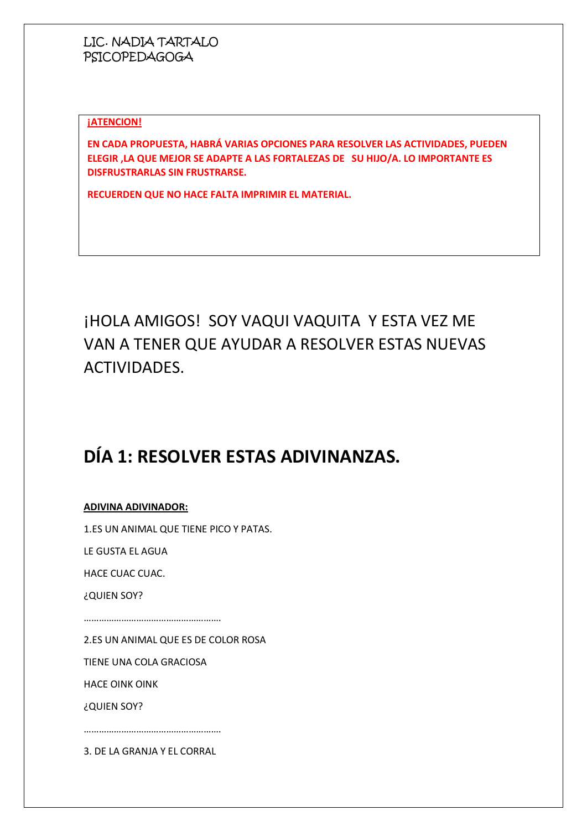#### **¡ATENCION!**

**EN CADA PROPUESTA, HABRÁ VARIAS OPCIONES PARA RESOLVER LAS ACTIVIDADES, PUEDEN ELEGIR ,LA QUE MEJOR SE ADAPTE A LAS FORTALEZAS DE SU HIJO/A. LO IMPORTANTE ES DISFRUSTRARLAS SIN FRUSTRARSE.**

**RECUERDEN QUE NO HACE FALTA IMPRIMIR EL MATERIAL.**

# ¡HOLA AMIGOS! SOY VAQUI VAQUITA Y ESTA VEZ ME VAN A TENER QUE AYUDAR A RESOLVER ESTAS NUEVAS ACTIVIDADES.

# **DÍA 1: RESOLVER ESTAS ADIVINANZAS.**

#### **ADIVINA ADIVINADOR:**

1.ES UN ANIMAL QUE TIENE PICO Y PATAS.

LE GUSTA EL AGUA

HACE CUAC CUAC.

¿QUIEN SOY?

……………………………………………….

2.ES UN ANIMAL QUE ES DE COLOR ROSA

TIENE UNA COLA GRACIOSA

HACE OINK OINK

¿QUIEN SOY?

3. DE LA GRANJA Y EL CORRAL

……………………………………………….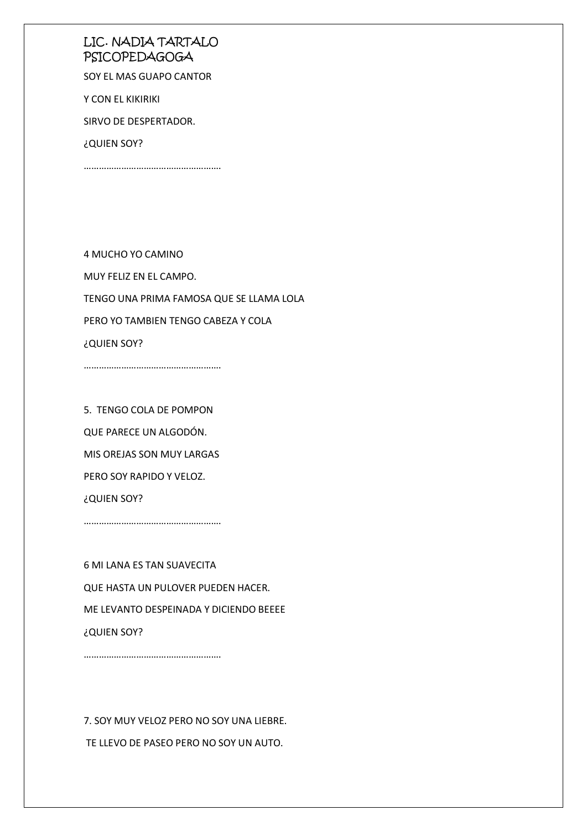SOY EL MAS GUAPO CANTOR

Y CON EL KIKIRIKI

SIRVO DE DESPERTADOR.

¿QUIEN SOY?

……………………………………………….

4 MUCHO YO CAMINO MUY FELIZ EN EL CAMPO. TENGO UNA PRIMA FAMOSA QUE SE LLAMA LOLA PERO YO TAMBIEN TENGO CABEZA Y COLA ¿QUIEN SOY?

5. TENGO COLA DE POMPON QUE PARECE UN ALGODÓN. MIS OREJAS SON MUY LARGAS PERO SOY RAPIDO Y VELOZ. ¿QUIEN SOY?

……………………………………………….

……………………………………………….

……………………………………………….

6 MI LANA ES TAN SUAVECITA QUE HASTA UN PULOVER PUEDEN HACER. ME LEVANTO DESPEINADA Y DICIENDO BEEEE ¿QUIEN SOY?

7. SOY MUY VELOZ PERO NO SOY UNA LIEBRE. TE LLEVO DE PASEO PERO NO SOY UN AUTO.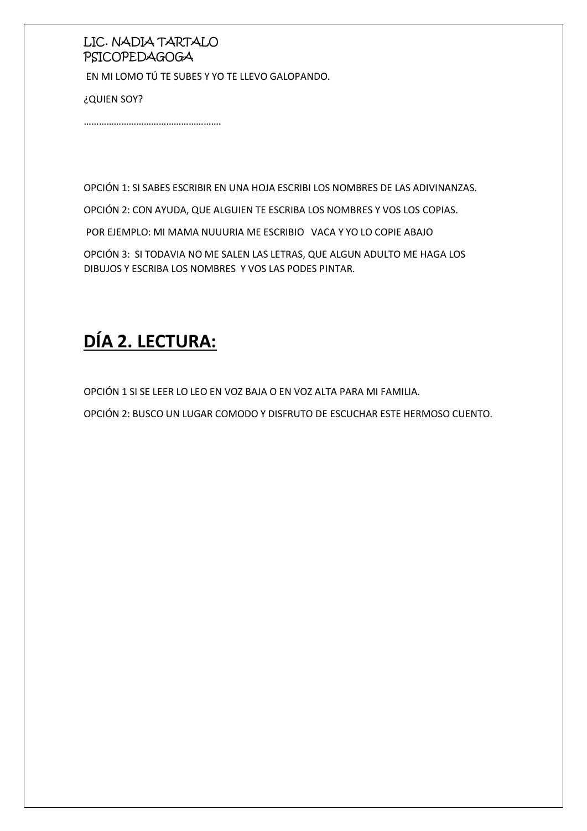EN MI LOMO TÚ TE SUBES Y YO TE LLEVO GALOPANDO.

¿QUIEN SOY?

……………………………………………….

OPCIÓN 1: SI SABES ESCRIBIR EN UNA HOJA ESCRIBI LOS NOMBRES DE LAS ADIVINANZAS.

OPCIÓN 2: CON AYUDA, QUE ALGUIEN TE ESCRIBA LOS NOMBRES Y VOS LOS COPIAS.

POR EJEMPLO: MI MAMA NUUURIA ME ESCRIBIO VACA Y YO LO COPIE ABAJO

OPCIÓN 3: SI TODAVIA NO ME SALEN LAS LETRAS, QUE ALGUN ADULTO ME HAGA LOS DIBUJOS Y ESCRIBA LOS NOMBRES Y VOS LAS PODES PINTAR.

# **DÍA 2. LECTURA:**

OPCIÓN 1 SI SE LEER LO LEO EN VOZ BAJA O EN VOZ ALTA PARA MI FAMILIA.

OPCIÓN 2: BUSCO UN LUGAR COMODO Y DISFRUTO DE ESCUCHAR ESTE HERMOSO CUENTO.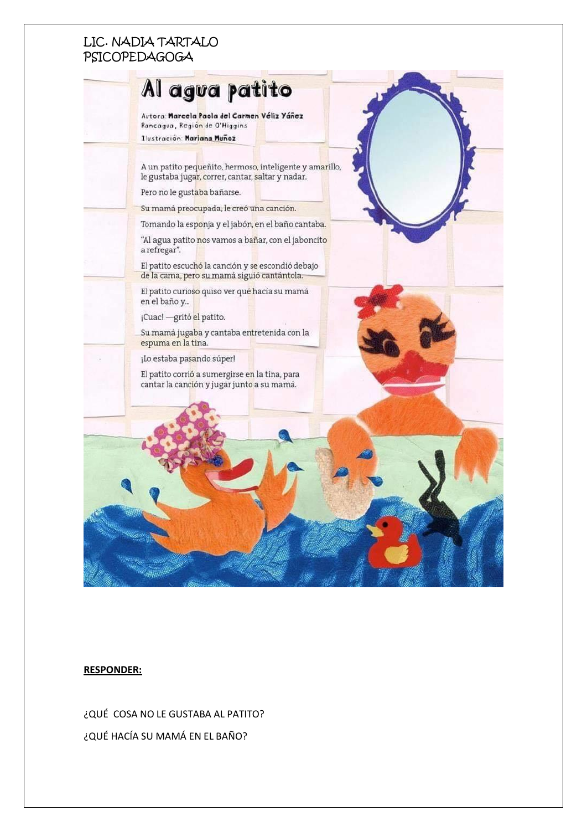

#### **RESPONDER:**

¿QUÉ COSA NO LE GUSTABA AL PATITO? ¿QUÉ HACÍA SU MAMÁ EN EL BAÑO?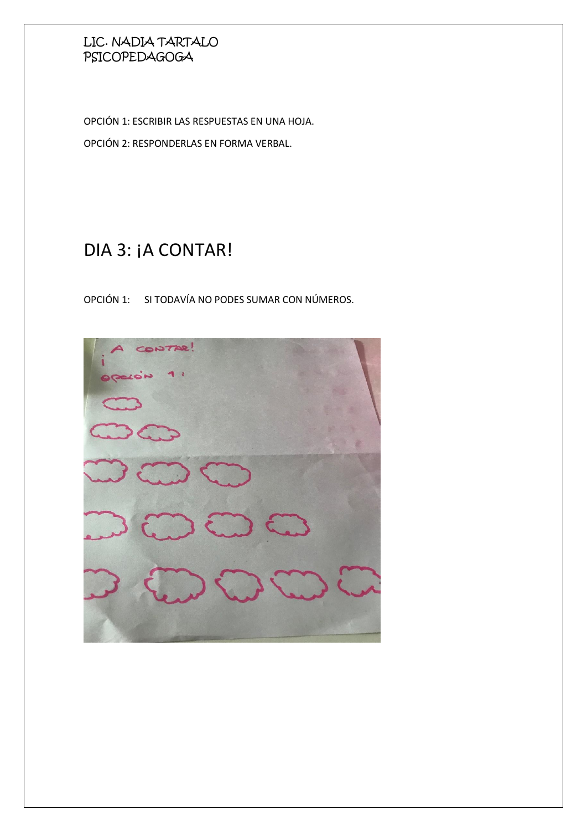OPCIÓN 1: ESCRIBIR LAS RESPUESTAS EN UNA HOJA.

OPCIÓN 2: RESPONDERLAS EN FORMA VERBAL.

# DIA 3: ¡A CONTAR!

OPCIÓN 1: SI TODAVÍA NO PODES SUMAR CON NÚMEROS.

**SATUO**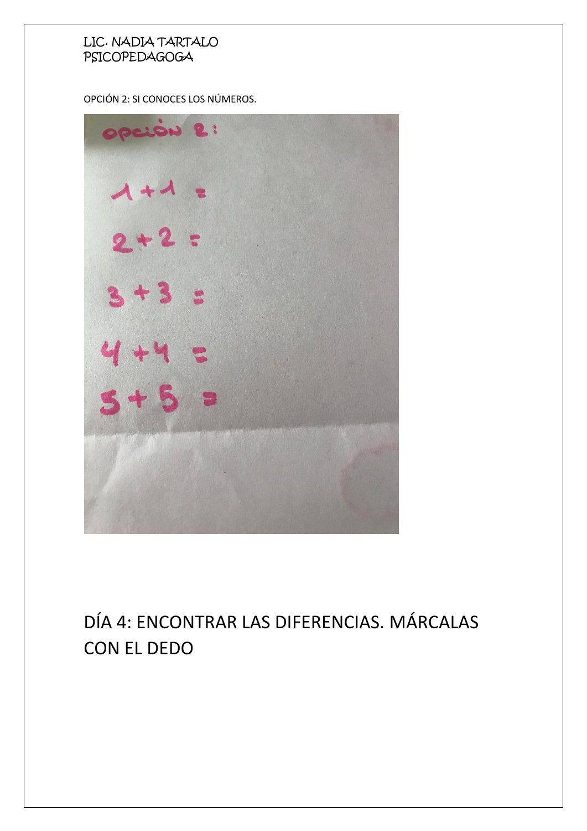OPCIÓN 2: SI CONOCES LOS NÚMEROS.



# DÍA 4: ENCONTRAR LAS DIFERENCIAS. MÁRCALAS CON EL DEDO